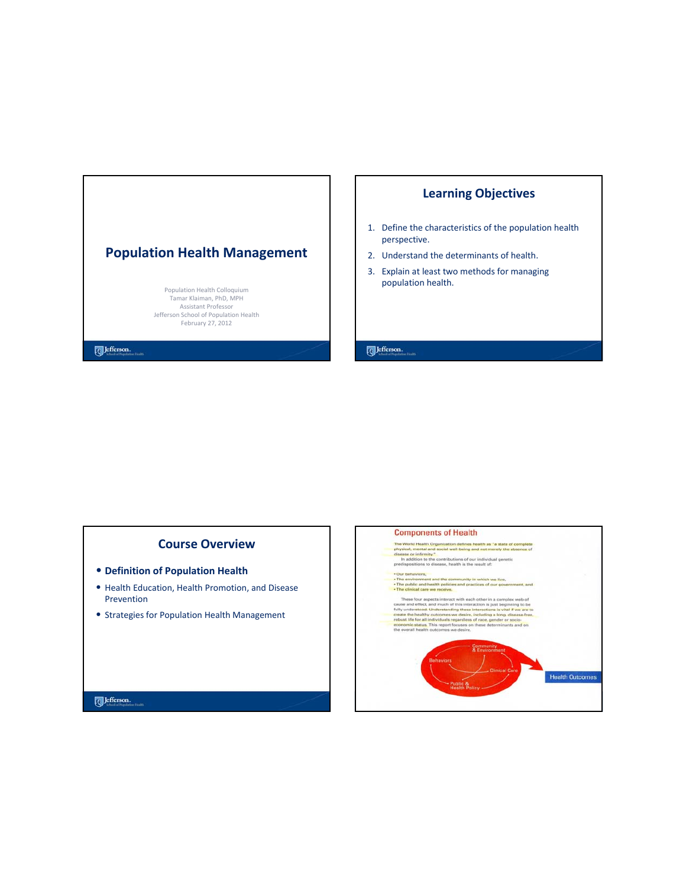# **Population Health Management**

Population Health Colloquium Tamar Klaiman, PhD, MPH Assistant Professor Jefferson School of Population Health February 27, 2012

# **Learning Objectives**

- 1. Define the characteristics of the population health perspective.
- 2. Understand the determinants of health.
- 3. Explain at least two methods for managing population health.

Jefferson.

## **Course Overview**

- **Definition of Population Health**
- Health Education, Health Promotion, and Disease Prevention
- Strategies for Population Health Management

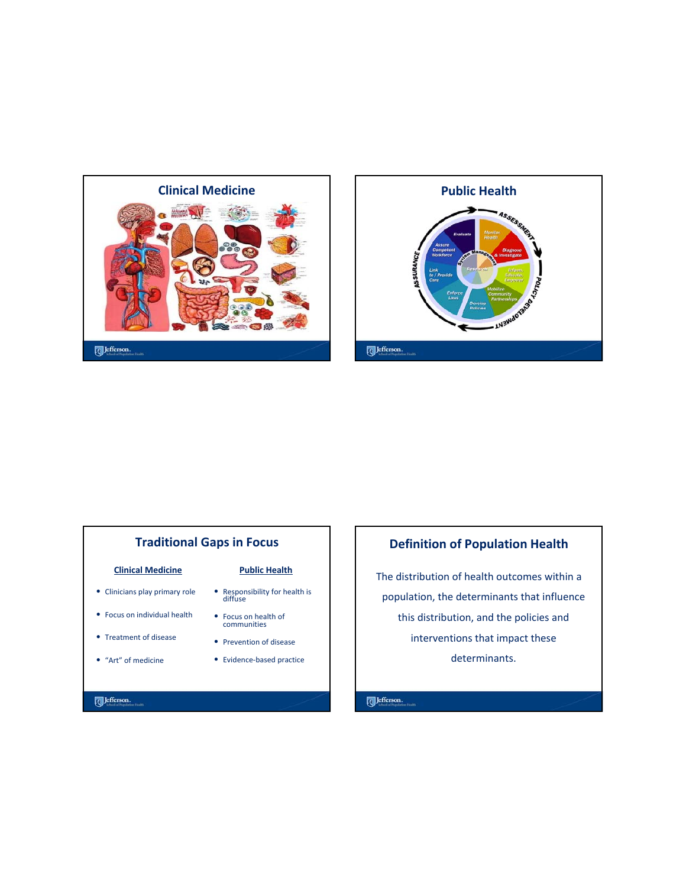



# **Traditional Gaps in Focus**

#### **Clinical Medicine**

- Clinicians play primary role
- Focus on individual health
- Treatment of disease
- "Art" of medicine

#### **Public Health**

- Responsibility for health is diffuse
- Focus on health of communities
- Prevention of disease
- Evidence‐based practice

# **Definition of Population Health**

The distribution of health outcomes within a population, the determinants that influence this distribution, and the policies and interventions that impact these determinants.

Jefferson.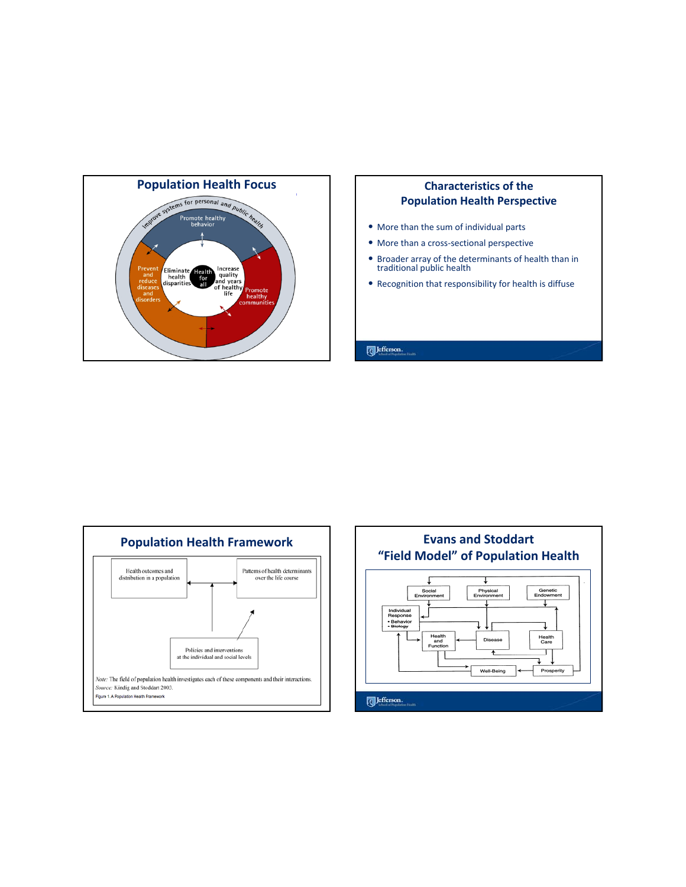

# **Population Health Perspective**

- More than the sum of individual parts
- More than a cross‐sectional perspective
- Broader array of the determinants of health than in traditional public health
- Recognition that responsibility for health is diffuse

#### 



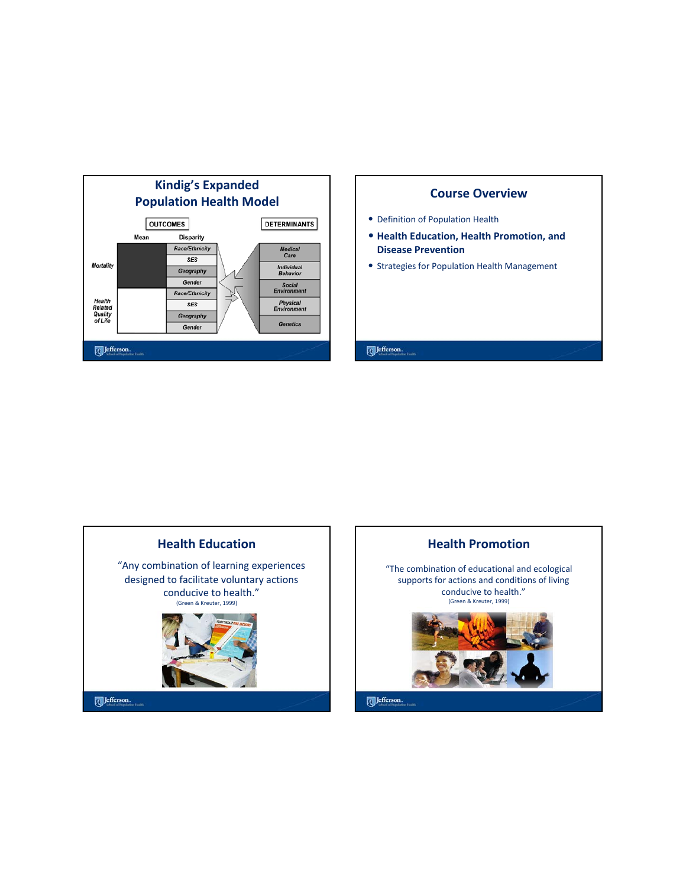





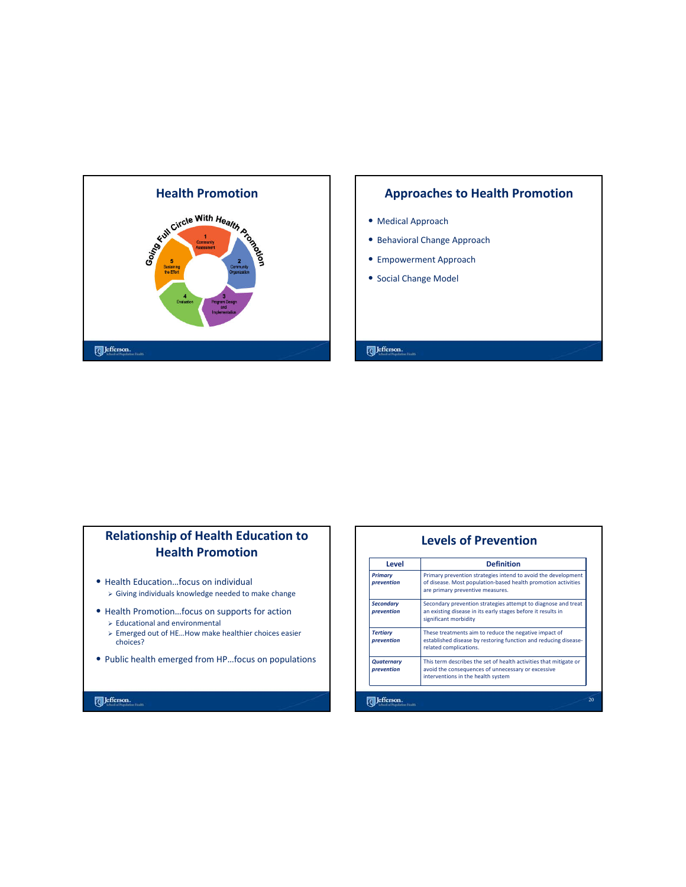

- Medical Approach
- Behavioral Change Approach
- Empowerment Approach
- Social Change Model

### Jefferson.

# **Relationship of Health Education to Health Promotion**

- Health Education…focus on individual
	- $\triangleright$  Giving individuals knowledge needed to make change
- Health Promotion…focus on supports for action  $\triangleright$  Educational and environmental
	- ¾ Emerged out of HE…How make healthier choices easier choices?
- Public health emerged from HP…focus on populations

**Levels of Prevention** Level | Definition *Primary prevention* Primary prevention strategies intend to avoid the development of disease. Most population‐based health promotion activities are primary preventive measures. *Secondary prevention* Secondary prevention strategies attempt to diagnose and treat an existing disease in its early stages before it results in significant morbidity These treatments aim to reduce the negative impact of *Tertiary prevention* established disease by restoring function and reducing disease‐ related complications. *Quaternary* This term describes the set of health activities that mitigate or *prevention* avoid the consequences of unnecessary or excessive interventions in the health systemJefferson.  $20$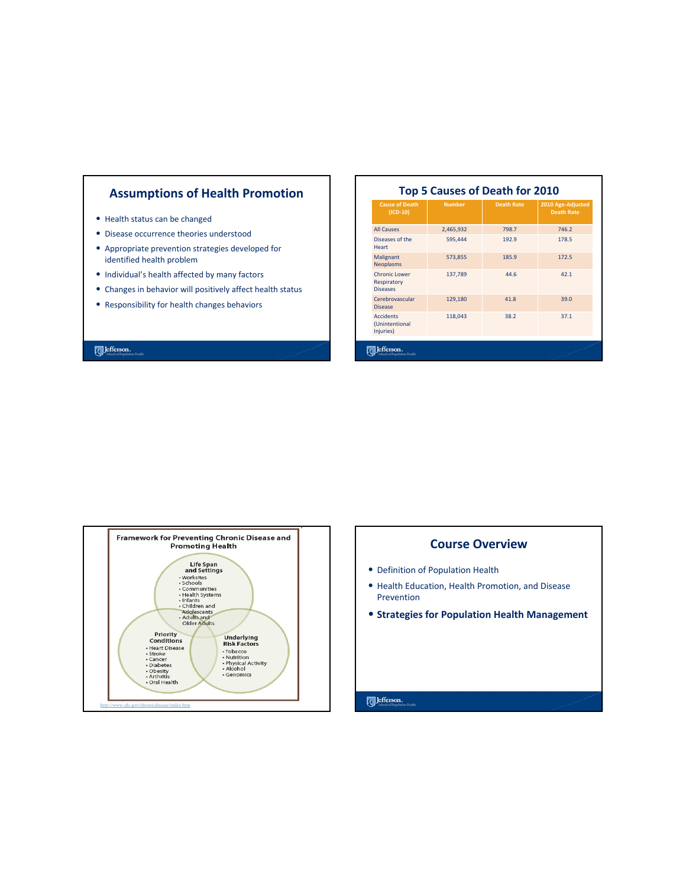# **Assumptions of Health Promotion**

- Health status can be changed
- Disease occurrence theories understood
- Appropriate prevention strategies developed for identified health problem
- Individual's health affected by many factors
- Changes in behavior will positively affect health status
- Responsibility for health changes behaviors

#### $[$  Jefferson.

#### **Top 5 Causes of Death for 2010**

| <b>Cause of Death</b><br>$(ICD-10)$                    | <b>Number</b> | <b>Death Rate</b> | 2010 Age-Adjusted<br><b>Death Rate</b> |
|--------------------------------------------------------|---------------|-------------------|----------------------------------------|
| <b>All Causes</b>                                      | 2,465,932     | 798.7             | 746.2                                  |
| Diseases of the<br>Heart                               | 595,444       | 192.9             | 178.5                                  |
| Malignant<br><b>Neoplasms</b>                          | 573,855       | 185.9             | 172.5                                  |
| <b>Chronic Lower</b><br>Respiratory<br><b>Diseases</b> | 137,789       | 44.6              | 42.1                                   |
| Cerebrovascular<br><b>Disease</b>                      | 129,180       | 41.8              | 39.0                                   |
| <b>Accidents</b><br>(Unintentional<br>Injuries)        | 118,043       | 38.2              | 37.1                                   |



#### **Course Overview**

- Definition of Population Health
- Health Education, Health Promotion, and Disease Prevention
- **Strategies for Population Health Management**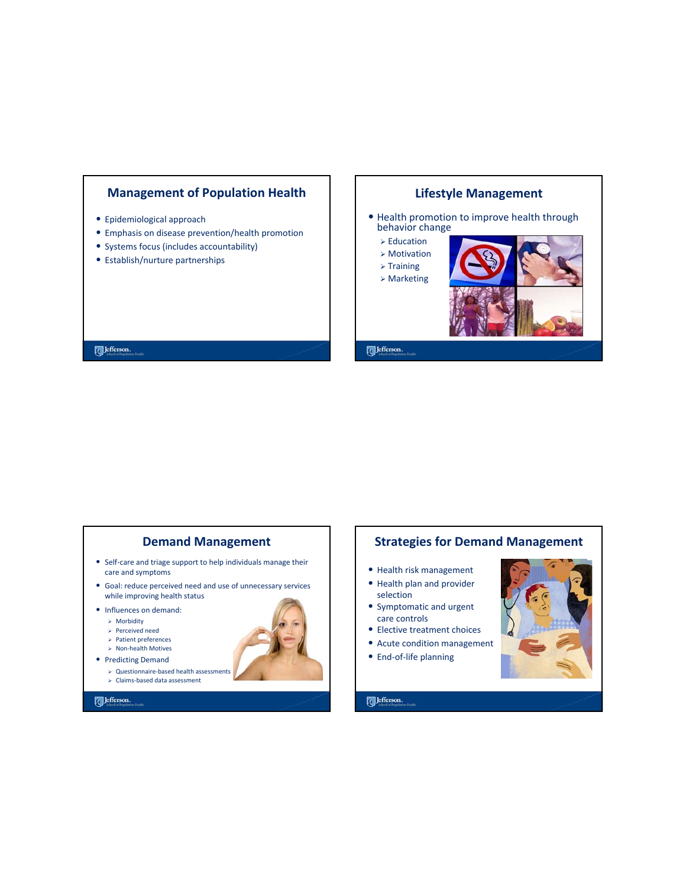

- Epidemiological approach
- Emphasis on disease prevention/health promotion
- Systems focus (includes accountability)
- Establish/nurture partnerships

# **Lifestyle Management**

- Health promotion to improve health through behavior change
	- $\triangleright$  Education
	- ¾ Motivation
	- $\triangleright$  Training
	- ¾ Marketing



Jefferson.

Jefferson.

#### **Demand Management**

- Self‐care and triage support to help individuals manage their care and symptoms
- Goal: reduce perceived need and use of unnecessary services while improving health status
- Influences on demand:
	- $\triangleright$  Morbidity
	- ¾ Perceived need
	- ¾ Patient preferences
	- ¾ Non‐health Motives
- Predicting Demand
	- ¾ Questionnaire‐based health assessments
	- ¾ Claims‐based data assessment



# **Strategies for Demand Management**

- Health risk management
- Health plan and provider selection
- Symptomatic and urgent care controls
- Elective treatment choices
- Acute condition management
- End‐of‐life planning



Jefferson.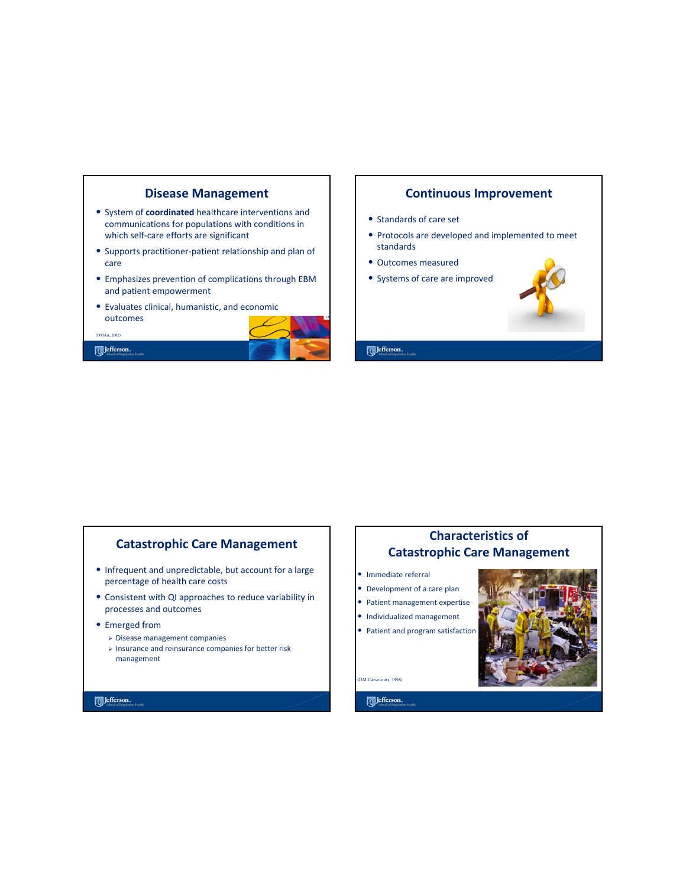

#### **Continuous Improvement**

- Standards of care set
- Protocols are developed and implemented to meet standards
- Outcomes measured
- Systems of care are improved



#### Jefferson.

## **Catastrophic Care Management**

- Infrequent and unpredictable, but account for a large percentage of health care costs
- Consistent with QI approaches to reduce variability in processes and outcomes
- Emerged from
	- ¾ Disease management companies
	- $\triangleright$  Insurance and reinsurance companies for better risk management

#### Jefferson.

# **Characteristics of Catastrophic Care Management**

- Immediate referral
- Development of a care plan
- Patient management expertise
- Individualized management
- Patient and program satisfaction



(DM Carve-outs, 1998)